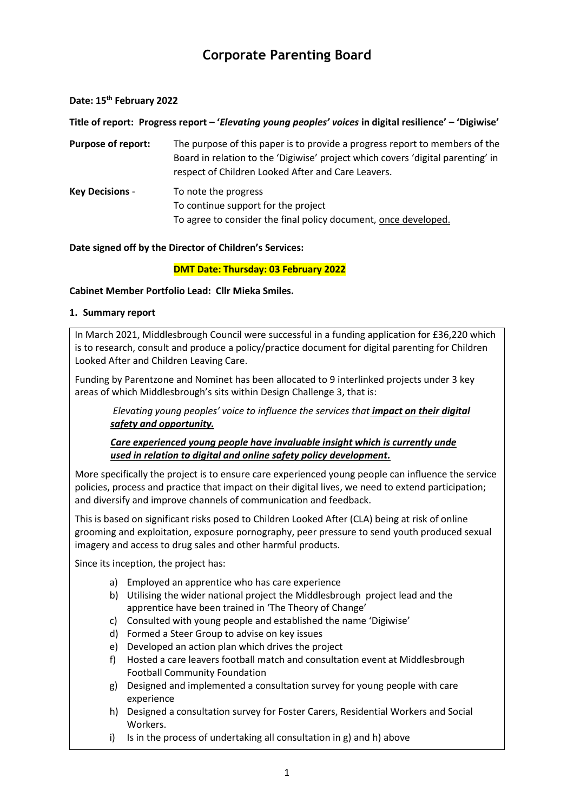# **Corporate Parenting Board**

#### **Date: 15th February 2022**

**Title of report: Progress report – '***Elevating young peoples' voices* **in digital resilience' – 'Digiwise'**

**Purpose of report:** The purpose of this paper is to provide a progress report to members of the Board in relation to the 'Digiwise' project which covers 'digital parenting' in respect of Children Looked After and Care Leavers.

**Key Decisions** - To note the progress To continue support for the project To agree to consider the final policy document, once developed.

### **Date signed off by the Director of Children's Services:**

### **DMT Date: Thursday: 03 February 2022**

### **Cabinet Member Portfolio Lead: Cllr Mieka Smiles.**

### **1. Summary report**

In March 2021, Middlesbrough Council were successful in a funding application for £36,220 which is to research, consult and produce a policy/practice document for digital parenting for Children Looked After and Children Leaving Care.

Funding by Parentzone and Nominet has been allocated to 9 interlinked projects under 3 key areas of which Middlesbrough's sits within Design Challenge 3, that is:

*Elevating young peoples' voice to influence the services that impact on their digital safety and opportunity.*

*Care experienced young people have invaluable insight which is currently unde used in relation to digital and online safety policy development.* 

More specifically the project is to ensure care experienced young people can influence the service policies, process and practice that impact on their digital lives, we need to extend participation; and diversify and improve channels of communication and feedback.

This is based on significant risks posed to Children Looked After (CLA) being at risk of online grooming and exploitation, exposure pornography, peer pressure to send youth produced sexual imagery and access to drug sales and other harmful products.

Since its inception, the project has:

- a) Employed an apprentice who has care experience
- b) Utilising the wider national project the Middlesbrough project lead and the apprentice have been trained in 'The Theory of Change'
- c) Consulted with young people and established the name 'Digiwise'
- d) Formed a Steer Group to advise on key issues
- e) Developed an action plan which drives the project
- f) Hosted a care leavers football match and consultation event at Middlesbrough Football Community Foundation
- g) Designed and implemented a consultation survey for young people with care experience
- h) Designed a consultation survey for Foster Carers, Residential Workers and Social Workers.
- i) Is in the process of undertaking all consultation in g) and h) above